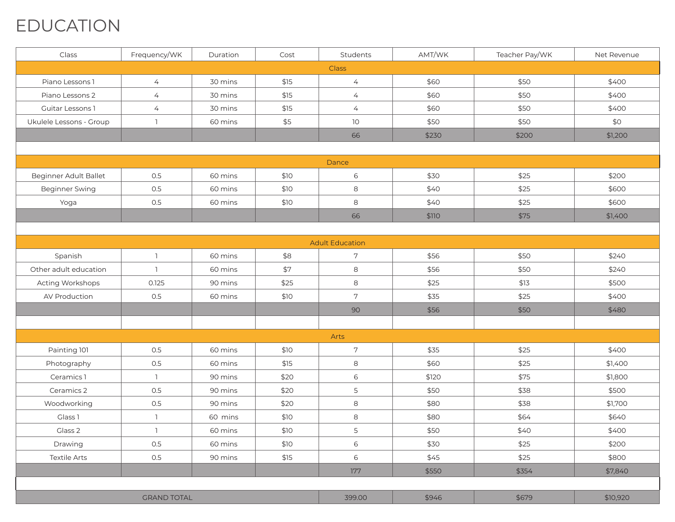### EDUCATION

| Class                   | Frequency/WK       | Duration | Cost | Students               | AMT/WK | Teacher Pay/WK | Net Revenue |
|-------------------------|--------------------|----------|------|------------------------|--------|----------------|-------------|
|                         |                    |          |      | Class                  |        |                |             |
| Piano Lessons 1         | $\overline{4}$     | 30 mins  | \$15 | $\overline{4}$         | \$60   | \$50           | \$400       |
| Piano Lessons 2         | $\overline{4}$     | 30 mins  | \$15 | $\overline{4}$         | \$60   | \$50           | \$400       |
| Guitar Lessons 1        | $\overline{4}$     | 30 mins  | \$15 | $\overline{4}$         | \$60   | \$50           | \$400       |
| Ukulele Lessons - Group | $\mathbb{I}$       | 60 mins  | \$5  | 10 <sup>°</sup>        | \$50   | \$50           | \$0         |
|                         |                    |          |      | 66                     | \$230  | \$200          | \$1,200     |
|                         |                    |          |      |                        |        |                |             |
|                         |                    |          |      | Dance                  |        |                |             |
| Beginner Adult Ballet   | 0.5                | 60 mins  | \$10 | 6                      | \$30   | \$25           | \$200       |
| <b>Beginner Swing</b>   | 0.5                | 60 mins  | \$10 | 8                      | \$40   | \$25           | \$600       |
| Yoga                    | 0.5                | 60 mins  | \$10 | 8                      | \$40   | \$25           | \$600       |
|                         |                    |          |      | 66                     | \$110  | \$75           | \$1,400     |
|                         |                    |          |      |                        |        |                |             |
|                         |                    |          |      | <b>Adult Education</b> |        |                |             |
| Spanish                 | $\mathbb{I}$       | 60 mins  | \$8  | $\overline{7}$         | \$56   | \$50           | \$240       |
| Other adult education   | $\mathbb{I}$       | 60 mins  | \$7  | 8                      | \$56   | \$50           | \$240       |
| Acting Workshops        | 0.125              | 90 mins  | \$25 | 8                      | \$25   | \$13           | \$500       |
| AV Production           | 0.5                | 60 mins  | \$10 | 7                      | \$35   | \$25           | \$400       |
|                         |                    |          |      | 90                     | \$56   | \$50           | \$480       |
|                         |                    |          |      |                        |        |                |             |
|                         |                    |          |      | Arts                   |        |                |             |
| Painting 101            | 0.5                | 60 mins  | \$10 | 7                      | \$35   | \$25           | \$400       |
| Photography             | 0.5                | 60 mins  | \$15 | 8                      | \$60   | \$25           | \$1,400     |
| Ceramics 1              | $\mathbb{I}$       | 90 mins  | \$20 | 6                      | \$120  | \$75           | \$1,800     |
| Ceramics 2              | 0.5                | 90 mins  | \$20 | 5                      | \$50   | \$38           | \$500       |
| Woodworking             | 0.5                | 90 mins  | \$20 | 8                      | \$80   | \$38           | \$1,700     |
| Glass <sub>1</sub>      | $\mathbb{I}$       | 60 mins  | \$10 | $\,8\,$                | \$80   | \$64           | \$640       |
| Glass 2                 | $\mathbb{L}$       | 60 mins  | \$10 | 5                      | \$50   | \$40           | \$400       |
| Drawing                 | 0.5                | 60 mins  | \$10 | 6                      | \$30   | \$25           | \$200       |
| <b>Textile Arts</b>     | $0.5\,$            | 90 mins  | \$15 | 6                      | \$45   | \$25           | \$800       |
|                         |                    |          |      | 177                    | \$550  | \$354          | \$7,840     |
|                         |                    |          |      |                        |        |                |             |
|                         | <b>GRAND TOTAL</b> |          |      | 399.00                 | \$946  | \$679          | \$10,920    |
|                         |                    |          |      |                        |        |                |             |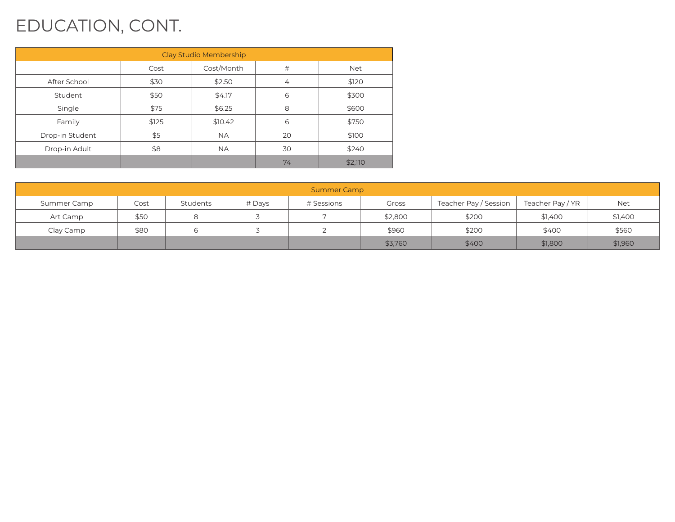## EDUCATION, CONT.

| Clay Studio Membership |       |            |    |            |  |  |  |  |  |
|------------------------|-------|------------|----|------------|--|--|--|--|--|
|                        | Cost  | Cost/Month | #  | <b>Net</b> |  |  |  |  |  |
| After School           | \$30  | \$2.50     | 4  | \$120      |  |  |  |  |  |
| Student                | \$50  | \$4.17     | 6  | \$300      |  |  |  |  |  |
| Single                 | \$75  | \$6.25     | 8  | \$600      |  |  |  |  |  |
| Family                 | \$125 | \$10.42    | 6  | \$750      |  |  |  |  |  |
| Drop-in Student        | \$5   | <b>NA</b>  | 20 | \$100      |  |  |  |  |  |
| Drop-in Adult          | \$8   | <b>NA</b>  | 30 | \$240      |  |  |  |  |  |
|                        |       |            | 74 | \$2,110    |  |  |  |  |  |

| <b>Summer Camp</b> |      |          |        |                |         |                       |                  |         |  |  |
|--------------------|------|----------|--------|----------------|---------|-----------------------|------------------|---------|--|--|
| Summer Camp        | Cost | Students | # Days | # Sessions     | Gross   | Teacher Pay / Session | Teacher Pay / YR | Net     |  |  |
| Art Camp           | \$50 |          |        | $\overline{ }$ | \$2,800 | \$200                 | \$1,400          | \$1,400 |  |  |
| Clay Camp          | \$80 |          |        |                | \$960   | \$200                 | \$400            | \$560   |  |  |
|                    |      |          |        |                | \$3,760 | \$400                 | \$1,800          | \$1,960 |  |  |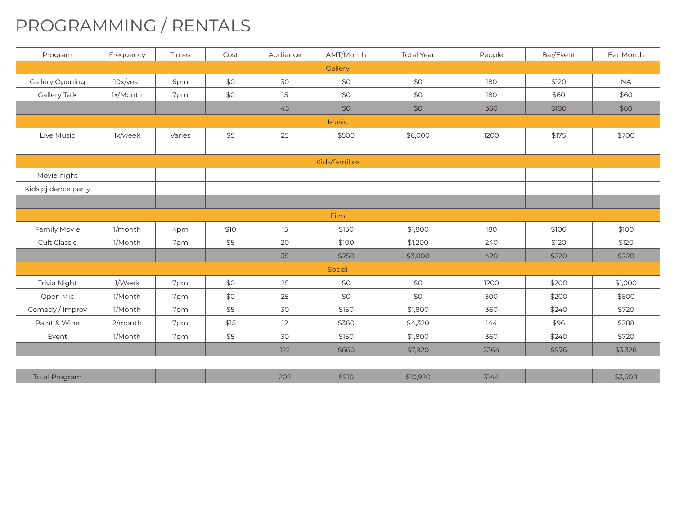## PROGRAMMING / RENTALS

| Program              | Frequency | Times  | Cost | Audience | AMT/Month     | <b>Total Year</b> | People | Bar/Event | Bar Month |
|----------------------|-----------|--------|------|----------|---------------|-------------------|--------|-----------|-----------|
|                      |           |        |      |          | Gallery       |                   |        |           |           |
| Gallery Opening      | 10x/year  | 6pm    | \$0  | 30       | \$0           | \$0               | 180    | \$120     | <b>NA</b> |
| Gallery Talk         | 1x/Month  | 7pm    | \$0  | 15       | \$0           | \$0               | 180    | \$60      | \$60      |
|                      |           |        |      | 45       | \$0           | \$0               | 360    | \$180     | \$60      |
|                      |           |        |      |          | Music         |                   |        |           |           |
| Live Music           | 1x/week   | Varies | \$5  | 25       | \$500         | \$6,000           | 1200   | \$175     | \$700     |
|                      |           |        |      |          |               |                   |        |           |           |
|                      |           |        |      |          | Kids/families |                   |        |           |           |
| Movie night          |           |        |      |          |               |                   |        |           |           |
| Kids pj dance party  |           |        |      |          |               |                   |        |           |           |
|                      |           |        |      |          |               |                   |        |           |           |
|                      |           |        |      |          | Film          |                   |        |           |           |
| Family Movie         | 1/month   | 4pm    | \$10 | 15       | \$150         | \$1,800           | 180    | \$100     | \$100     |
| <b>Cult Classic</b>  | 1/Month   | 7pm    | \$5  | 20       | \$100         | \$1,200           | 240    | \$120     | \$120     |
|                      |           |        |      | 35       | \$250         | \$3,000           | 420    | \$220     | \$220     |
|                      |           |        |      |          | Social        |                   |        |           |           |
| Trivia Night         | 1/Week    | 7pm    | \$0  | 25       | \$0           | \$0               | 1200   | \$200     | \$1,000   |
| Open Mic             | 1/Month   | 7pm    | \$0  | 25       | \$0           | \$0               | 300    | \$200     | \$600     |
| Comedy / Improv      | 1/Month   | 7pm    | \$5  | 30       | \$150         | \$1,800           | 360    | \$240     | \$720     |
| Paint & Wine         | 2/month   | 7pm    | \$15 | 12       | \$360         | \$4,320           | 144    | \$96      | \$288     |
| Event                | 1/Month   | 7pm    | \$5  | 30       | \$150         | \$1,800           | 360    | \$240     | \$720     |
|                      |           |        |      | 122      | \$660         | \$7,920           | 2364   | \$976     | \$3,328   |
|                      |           |        |      |          |               |                   |        |           |           |
| <b>Total Program</b> |           |        |      | 202      | \$910         | \$10,920          | 3144   |           | \$3,608   |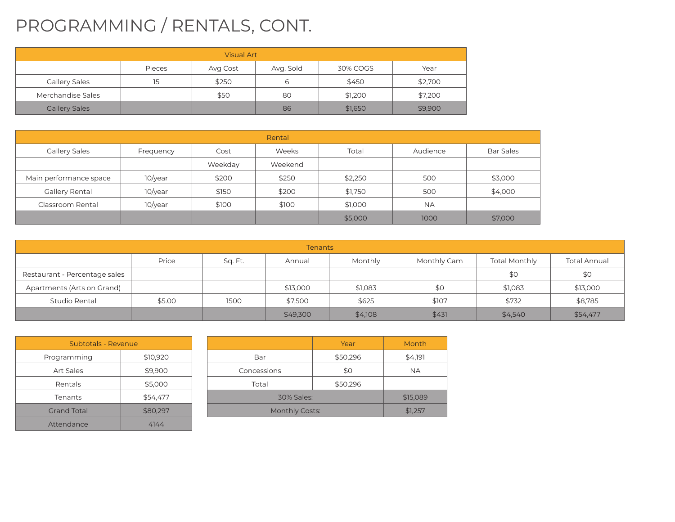# PROGRAMMING / RENTALS, CONT.

| <b>Visual Art</b>                                   |    |       |    |         |         |  |  |  |  |
|-----------------------------------------------------|----|-------|----|---------|---------|--|--|--|--|
| Avg. Sold<br>Pieces<br>30% COGS<br>Year<br>Avg Cost |    |       |    |         |         |  |  |  |  |
| <b>Gallery Sales</b>                                | 15 | \$250 | 6  | \$450   | \$2,700 |  |  |  |  |
| Merchandise Sales                                   |    | \$50  | 80 | \$1,200 | \$7,200 |  |  |  |  |
| <b>Gallery Sales</b>                                |    |       | 86 | \$1,650 | \$9,900 |  |  |  |  |

| Rental                 |            |         |         |         |           |                  |  |  |  |  |
|------------------------|------------|---------|---------|---------|-----------|------------------|--|--|--|--|
| <b>Gallery Sales</b>   | Frequency  | Cost    | Weeks   | Total   | Audience  | <b>Bar Sales</b> |  |  |  |  |
|                        |            | Weekday | Weekend |         |           |                  |  |  |  |  |
| Main performance space | 10/year    | \$200   | \$250   | \$2,250 | 500       | \$3,000          |  |  |  |  |
| Gallery Rental         | 10/year    | \$150   | \$200   | \$1,750 | 500       | \$4,000          |  |  |  |  |
| Classroom Rental       | $10$ /year | \$100   | \$100   | \$1,000 | <b>NA</b> |                  |  |  |  |  |
|                        |            |         |         | \$5,000 | 1000      | \$7,000          |  |  |  |  |

| <b>Tenants</b>                |        |         |          |         |             |                      |              |  |  |  |
|-------------------------------|--------|---------|----------|---------|-------------|----------------------|--------------|--|--|--|
|                               | Price  | Sq. Ft. | Annual   | Monthly | Monthly Cam | <b>Total Monthly</b> | Total Annual |  |  |  |
| Restaurant - Percentage sales |        |         |          |         |             | \$0                  | \$0          |  |  |  |
| Apartments (Arts on Grand)    |        |         | \$13,000 | \$1,083 | \$0         | \$1,083              | \$13,000     |  |  |  |
| Studio Rental                 | \$5.00 | 1500    | \$7,500  | \$625   | \$107       | \$732                | \$8,785      |  |  |  |
|                               |        |         | \$49,300 | \$4,108 | \$431       | \$4,540              | \$54,477     |  |  |  |

| <b>Subtotals - Revenue</b> |          |    |
|----------------------------|----------|----|
| Programming                | \$10,920 |    |
| <b>Art Sales</b>           | \$9,900  | ĆΩ |
| Rentals                    | \$5,000  |    |
| Tenants                    | \$54,477 |    |
| <b>Grand Total</b>         | \$80,297 |    |
| Attendance                 | 4144     |    |

|                       | Year       | Month   |  |  |  |
|-----------------------|------------|---------|--|--|--|
| Bar                   | \$50,296   | \$4,191 |  |  |  |
| Concessions           | \$0        | NA.     |  |  |  |
| Total                 | \$50,296   |         |  |  |  |
|                       | 30% Sales: |         |  |  |  |
| <b>Monthly Costs:</b> | \$1,257    |         |  |  |  |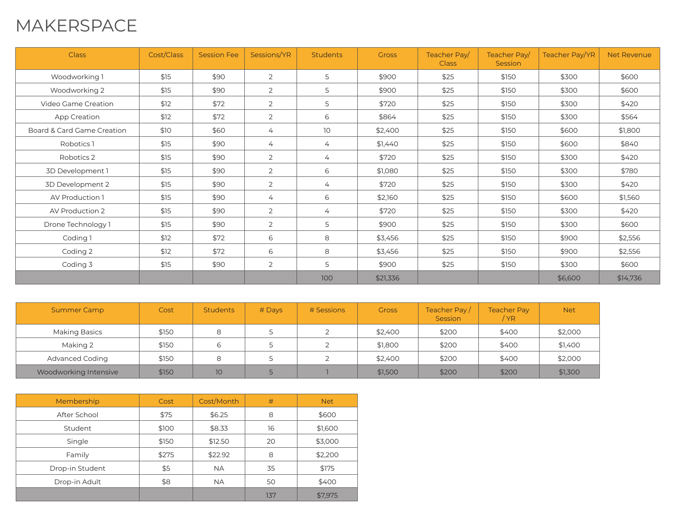#### MAKERSPACE

| <b>Class</b>               | Cost/Class | <b>Session Fee</b> | Sessions/YR    | <b>Students</b> | <b>Gross</b> | Teacher Pay<br><b>Class</b> | Teacher Pay<br>Session | Teacher Pay/YR | <b>Net Revenue</b> |
|----------------------------|------------|--------------------|----------------|-----------------|--------------|-----------------------------|------------------------|----------------|--------------------|
| Woodworking 1              | \$15       | \$90               | $\overline{2}$ | 5               | \$900        | \$25                        | \$150                  | \$300          | \$600              |
| Woodworking 2              | \$15       | \$90               | $\overline{2}$ | 5               | \$900        | \$25                        | \$150                  | \$300          | \$600              |
| Video Game Creation        | \$12       | \$72               | 2              | 5               | \$720        | \$25                        | \$150                  | \$300          | \$420              |
| App Creation               | \$12       | \$72               | $\overline{2}$ | 6               | \$864        | \$25                        | \$150                  | \$300          | \$564              |
| Board & Card Game Creation | \$10       | \$60               | $\overline{4}$ | 10 <sup>°</sup> | \$2,400      | \$25                        | \$150                  | \$600          | \$1,800            |
| Robotics 1                 | \$15       | \$90               | $\overline{4}$ | 4               | \$1,440      | \$25                        | \$150                  | \$600          | \$840              |
| Robotics 2                 | \$15       | \$90               | 2              | 4               | \$720        | \$25                        | \$150                  | \$300          | \$420              |
| 3D Development 1           | \$15       | \$90               | 2              | 6               | \$1,080      | \$25                        | \$150                  | \$300          | \$780              |
| 3D Development 2           | \$15       | \$90               | $\overline{2}$ | $\overline{4}$  | \$720        | \$25                        | \$150                  | \$300          | \$420              |
| AV Production 1            | \$15       | \$90               | $\overline{4}$ | 6               | \$2,160      | \$25                        | \$150                  | \$600          | \$1,560            |
| AV Production 2            | \$15       | \$90               | 2              | 4               | \$720        | \$25                        | \$150                  | \$300          | \$420              |
| Drone Technology 1         | \$15       | \$90               | 2              | 5               | \$900        | \$25                        | \$150                  | \$300          | \$600              |
| Coding 1                   | \$12       | \$72               | 6              | 8               | \$3,456      | \$25                        | \$150                  | \$900          | \$2,556            |
| Coding 2                   | \$12       | \$72               | 6              | 8               | \$3,456      | \$25                        | \$150                  | \$900          | \$2,556            |
| Coding 3                   | \$15       | \$90               | $\overline{2}$ | 5               | \$900        | \$25                        | \$150                  | \$300          | \$600              |
|                            |            |                    |                | 100             | \$21,336     |                             |                        | \$6,600        | \$14,736           |

| <b>Summer Camp</b>     | Cost  | <b>Students</b> | $#$ Days | # Sessions | <b>Gross</b> | Teacher Pay/<br>Session | <b>Teacher Pay</b><br>/ YR | <b>Net</b> |
|------------------------|-------|-----------------|----------|------------|--------------|-------------------------|----------------------------|------------|
| Making Basics          | \$150 | 8               |          |            | \$2,400      | \$200                   | \$400                      | \$2,000    |
| Making 2               | \$150 | 6               |          |            | \$1.800      | \$200                   | \$400                      | \$1,400    |
| <b>Advanced Coding</b> | \$150 | 8               |          |            | \$2,400      | \$200                   | \$400                      | \$2,000    |
| Woodworking Intensive  | \$150 | 10 <sup>1</sup> |          |            | \$1,500      | \$200                   | \$200                      | \$1,300    |

| Membership      | Cost  | Cost/Month | #   | <b>Net</b> |
|-----------------|-------|------------|-----|------------|
| After School    | \$75  | \$6.25     | 8   | \$600      |
| Student         | \$100 | \$8.33     | 16  | \$1,600    |
| Single          | \$150 | \$12.50    | 20  | \$3,000    |
| Family          | \$275 | \$22.92    | 8   | \$2,200    |
| Drop-in Student | \$5   | <b>NA</b>  | 35  | \$175      |
| Drop-in Adult   | \$8   | <b>NA</b>  | 50  | \$400      |
|                 |       |            | 137 | \$7,975    |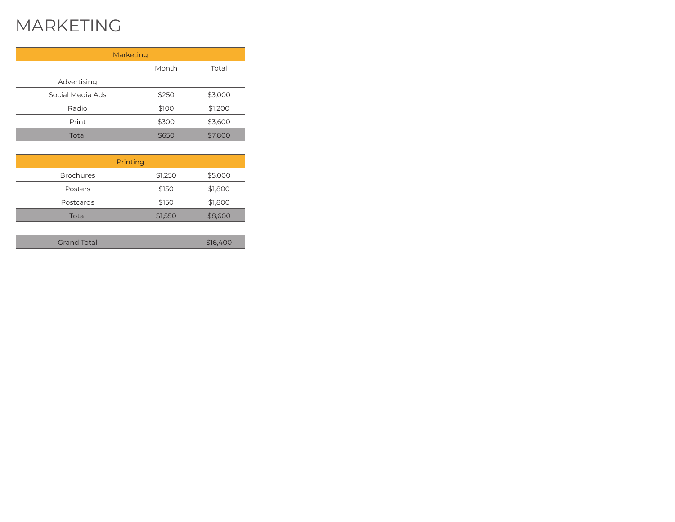## MARKETING

| Marketing          |         |          |
|--------------------|---------|----------|
|                    | Month   | Total    |
| Advertising        |         |          |
| Social Media Ads   | \$250   | \$3,000  |
| Radio              | \$100   | \$1,200  |
| Print              | \$300   | \$3,600  |
| Total              | \$650   | \$7,800  |
|                    |         |          |
| Printing           |         |          |
| <b>Brochures</b>   | \$1,250 | \$5,000  |
| Posters            | \$150   | \$1,800  |
| Postcards          | \$150   | \$1,800  |
| Total              | \$1,550 | \$8,600  |
|                    |         |          |
| <b>Grand Total</b> |         | \$16,400 |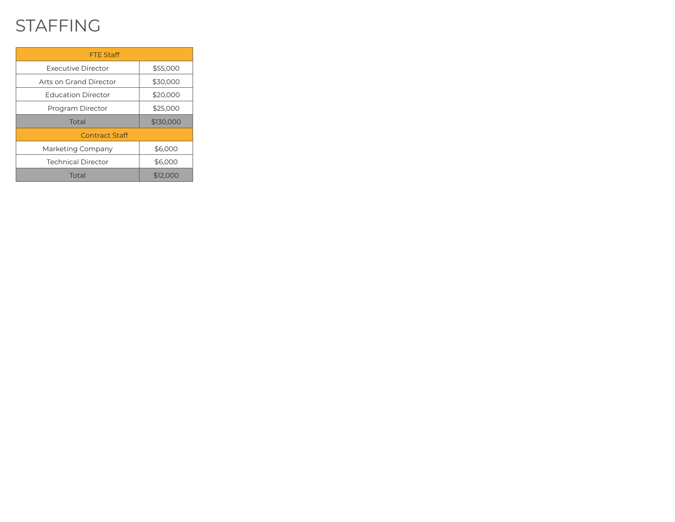#### STAFFING

| <b>FTE Staff</b>          |           |
|---------------------------|-----------|
| Executive Director        | \$55,000  |
| Arts on Grand Director    | \$30,000  |
| <b>Education Director</b> | \$20,000  |
| Program Director          | \$25,000  |
| Total                     | \$130,000 |
| Contract Staff            |           |
| Marketing Company         | \$6,000   |
| <b>Technical Director</b> | \$6,000   |
| Total                     | \$12,000  |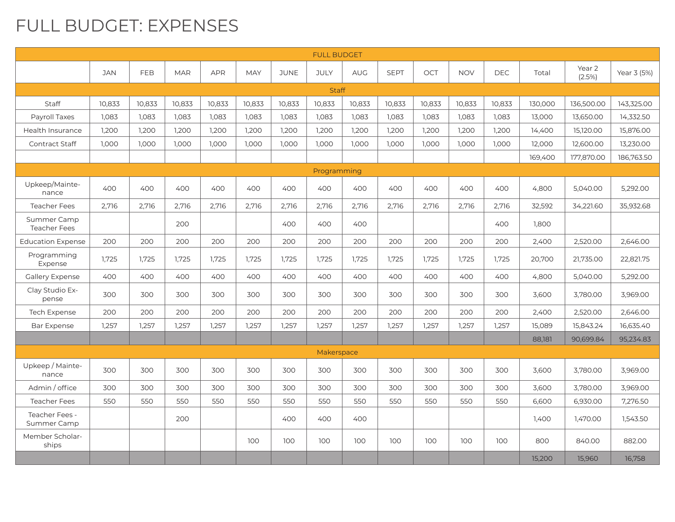#### FULL BUDGET: EXPENSES

| <b>FULL BUDGET</b>                 |        |            |            |            |            |             |             |            |             |        |            |            |         |                  |             |
|------------------------------------|--------|------------|------------|------------|------------|-------------|-------------|------------|-------------|--------|------------|------------|---------|------------------|-------------|
|                                    | JAN    | <b>FEB</b> | <b>MAR</b> | <b>APR</b> | <b>MAY</b> | <b>JUNE</b> | <b>JULY</b> | <b>AUG</b> | <b>SEPT</b> | OCT    | <b>NOV</b> | <b>DEC</b> | Total   | Year 2<br>(2.5%) | Year 3 (5%) |
| <b>Staff</b>                       |        |            |            |            |            |             |             |            |             |        |            |            |         |                  |             |
| <b>Staff</b>                       | 10.833 | 10.833     | 10,833     | 10.833     | 10.833     | 10.833      | 10,833      | 10,833     | 10,833      | 10,833 | 10,833     | 10,833     | 130,000 | 136,500.00       | 143.325.00  |
| Payroll Taxes                      | 1,083  | 1,083      | 1,083      | 1,083      | 1,083      | 1,083       | 1,083       | 1,083      | 1,083       | 1,083  | 1,083      | 1,083      | 13,000  | 13,650.00        | 14,332.50   |
| Health Insurance                   | 1,200  | 1,200      | 1,200      | 1,200      | 1,200      | 1,200       | 1,200       | 1,200      | 1,200       | 1,200  | 1,200      | 1,200      | 14,400  | 15,120.00        | 15,876.00   |
| Contract Staff                     | 1,000  | 1,000      | 1,000      | 1,000      | 1,000      | 1,000       | 1,000       | 1,000      | 1,000       | 1,000  | 1,000      | 1,000      | 12,000  | 12,600.00        | 13,230.00   |
|                                    |        |            |            |            |            |             |             |            |             |        |            |            | 169,400 | 177,870,00       | 186.763.50  |
|                                    |        |            |            |            |            |             | Programming |            |             |        |            |            |         |                  |             |
| Upkeep/Mainte-<br>nance            | 400    | 400        | 400        | 400        | 400        | 400         | 400         | 400        | 400         | 400    | 400        | 400        | 4,800   | 5,040.00         | 5,292.00    |
| <b>Teacher Fees</b>                | 2,716  | 2,716      | 2,716      | 2,716      | 2,716      | 2,716       | 2,716       | 2,716      | 2,716       | 2,716  | 2,716      | 2,716      | 32,592  | 34,221.60        | 35,932.68   |
| Summer Camp<br><b>Teacher Fees</b> |        |            | 200        |            |            | 400         | 400         | 400        |             |        |            | 400        | 1.800   |                  |             |
| <b>Education Expense</b>           | 200    | 200        | 200        | 200        | 200        | 200         | 200         | 200        | 200         | 200    | 200        | 200        | 2,400   | 2,520.00         | 2.646.00    |
| Programming<br>Expense             | 1,725  | 1,725      | 1.725      | 1.725      | 1.725      | 1.725       | 1,725       | 1,725      | 1,725       | 1,725  | 1.725      | 1,725      | 20,700  | 21,735.00        | 22,821.75   |
| Gallery Expense                    | 400    | 400        | 400        | 400        | 400        | 400         | 400         | 400        | 400         | 400    | 400        | 400        | 4,800   | 5,040.00         | 5,292.00    |
| Clay Studio Ex-<br>pense           | 300    | 300        | 300        | 300        | 300        | 300         | 300         | 300        | 300         | 300    | 300        | 300        | 3,600   | 3,780.00         | 3,969.00    |
| <b>Tech Expense</b>                | 200    | 200        | 200        | 200        | 200        | 200         | 200         | 200        | 200         | 200    | 200        | 200        | 2,400   | 2,520.00         | 2,646.00    |
| <b>Bar Expense</b>                 | 1,257  | 1,257      | 1,257      | 1,257      | 1,257      | 1,257       | 1,257       | 1,257      | 1,257       | 1,257  | 1,257      | 1,257      | 15,089  | 15,843.24        | 16,635.40   |
|                                    |        |            |            |            |            |             |             |            |             |        |            |            | 88,181  | 90.699.84        | 95.234.83   |
|                                    |        |            |            |            |            |             | Makerspace  |            |             |        |            |            |         |                  |             |
| Upkeep / Mainte-<br>nance          | 300    | 300        | 300        | 300        | 300        | 300         | 300         | 300        | 300         | 300    | 300        | 300        | 3,600   | 3,780.00         | 3,969.00    |
| Admin / office                     | 300    | 300        | 300        | 300        | 300        | 300         | 300         | 300        | 300         | 300    | 300        | 300        | 3,600   | 3,780.00         | 3,969.00    |
| <b>Teacher Fees</b>                | 550    | 550        | 550        | 550        | 550        | 550         | 550         | 550        | 550         | 550    | 550        | 550        | 6,600   | 6,930.00         | 7.276.50    |
| Teacher Fees -<br>Summer Camp      |        |            | 200        |            |            | 400         | 400         | 400        |             |        |            |            | 1,400   | 1.470.00         | 1.543.50    |
| Member Scholar-<br>ships           |        |            |            |            | 100        | 100         | 100         | 100        | 100         | 100    | 100        | 100        | 800     | 840.00           | 882.00      |
|                                    |        |            |            |            |            |             |             |            |             |        |            |            | 15,200  | 15,960           | 16,758      |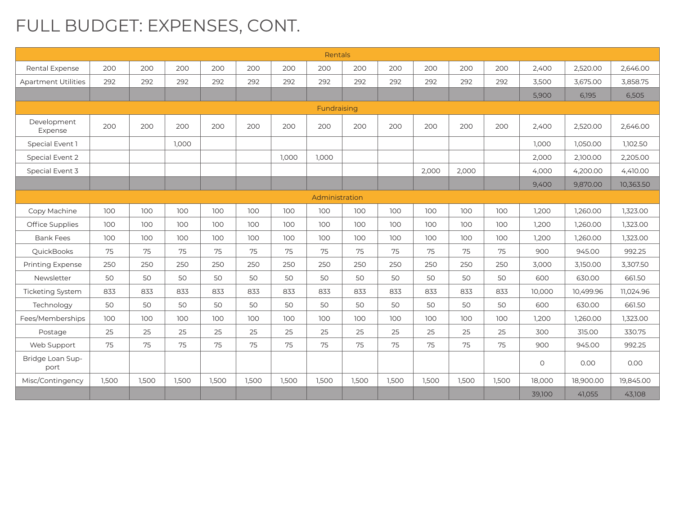## FULL BUDGET: EXPENSES, CONT.

|                            |       |       |       |       |       |       | <b>Rentals</b> |       |       |       |       |       |         |           |           |
|----------------------------|-------|-------|-------|-------|-------|-------|----------------|-------|-------|-------|-------|-------|---------|-----------|-----------|
| Rental Expense             | 200   | 200   | 200   | 200   | 200   | 200   | 200            | 200   | 200   | 200   | 200   | 200   | 2,400   | 2.520.00  | 2.646.00  |
| <b>Apartment Utilities</b> | 292   | 292   | 292   | 292   | 292   | 292   | 292            | 292   | 292   | 292   | 292   | 292   | 3,500   | 3,675.00  | 3,858.75  |
|                            |       |       |       |       |       |       |                |       |       |       |       |       | 5,900   | 6,195     | 6,505     |
| Fundraising                |       |       |       |       |       |       |                |       |       |       |       |       |         |           |           |
| Development<br>Expense     | 200   | 200   | 200   | 200   | 200   | 200   | 200            | 200   | 200   | 200   | 200   | 200   | 2,400   | 2.520.00  | 2.646.00  |
| Special Event 1            |       |       | 1.000 |       |       |       |                |       |       |       |       |       | 1.000   | 1.050.00  | 1,102.50  |
| Special Event 2            |       |       |       |       |       | 1.000 | 1.000          |       |       |       |       |       | 2,000   | 2,100.00  | 2,205.00  |
| Special Event 3            |       |       |       |       |       |       |                |       |       | 2,000 | 2,000 |       | 4,000   | 4,200.00  | 4,410.00  |
|                            |       |       |       |       |       |       |                |       |       |       |       |       | 9,400   | 9,870.00  | 10,363.50 |
|                            |       |       |       |       |       |       | Administration |       |       |       |       |       |         |           |           |
| Copy Machine               | 100   | 100   | 100   | 100   | 100   | 100   | 100            | 100   | 100   | 100   | 100   | 100   | 1,200   | 1.260.00  | 1,323.00  |
| Office Supplies            | 100   | 100   | 100   | 100   | 100   | 100   | 100            | 100   | 100   | 100   | 100   | 100   | 1,200   | 1,260.00  | 1,323.00  |
| <b>Bank Fees</b>           | 100   | 100   | 100   | 100   | 100   | 100   | 100            | 100   | 100   | 100   | 100   | 100   | 1,200   | 1,260.00  | 1,323.00  |
| QuickBooks                 | 75    | 75    | 75    | 75    | 75    | 75    | 75             | 75    | 75    | 75    | 75    | 75    | 900     | 945.00    | 992.25    |
| <b>Printing Expense</b>    | 250   | 250   | 250   | 250   | 250   | 250   | 250            | 250   | 250   | 250   | 250   | 250   | 3.000   | 3,150.00  | 3.307.50  |
| Newsletter                 | 50    | 50    | 50    | 50    | 50    | 50    | 50             | 50    | 50    | 50    | 50    | 50    | 600     | 630.00    | 661.50    |
| Ticketing System           | 833   | 833   | 833   | 833   | 833   | 833   | 833            | 833   | 833   | 833   | 833   | 833   | 10.000  | 10.499.96 | 11.024.96 |
| Technology                 | 50    | 50    | 50    | 50    | 50    | 50    | 50             | 50    | 50    | 50    | 50    | 50    | 600     | 630.00    | 661.50    |
| Fees/Memberships           | 100   | 100   | 100   | 100   | 100   | 100   | 100            | 100   | 100   | 100   | 100   | 100   | 1,200   | 1,260.00  | 1,323.00  |
| Postage                    | 25    | 25    | 25    | 25    | 25    | 25    | 25             | 25    | 25    | 25    | 25    | 25    | 300     | 315.00    | 330.75    |
| Web Support                | 75    | 75    | 75    | 75    | 75    | 75    | 75             | 75    | 75    | 75    | 75    | 75    | 900     | 945.00    | 992.25    |
| Bridge Loan Sup-<br>port   |       |       |       |       |       |       |                |       |       |       |       |       | $\circ$ | 0.00      | 0.00      |
| Misc/Contingency           | 1,500 | 1.500 | 1,500 | 1,500 | 1,500 | 1,500 | 1,500          | 1,500 | 1,500 | 1,500 | 1,500 | 1,500 | 18,000  | 18,900.00 | 19.845.00 |
|                            |       |       |       |       |       |       |                |       |       |       |       |       | 39,100  | 41,055    | 43,108    |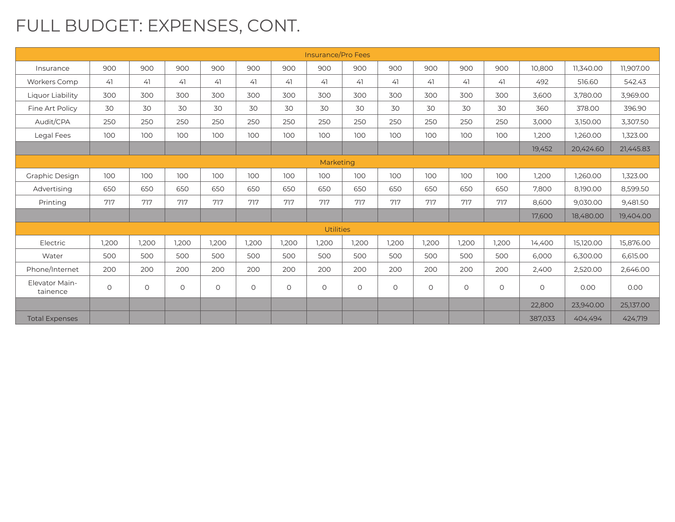## FULL BUDGET: EXPENSES, CONT.

|                            |         |         |         |         |         |         | Insurance/Pro Fees |         |         |         |         |         |         |           |           |
|----------------------------|---------|---------|---------|---------|---------|---------|--------------------|---------|---------|---------|---------|---------|---------|-----------|-----------|
| Insurance                  | 900     | 900     | 900     | 900     | 900     | 900     | 900                | 900     | 900     | 900     | 900     | 900     | 10,800  | 11.340.00 | 11,907.00 |
| Workers Comp               | 41      | 41      | 41      | 41      | 41      | 41      | 41                 | 41      | 41      | 41      | 41      | 41      | 492     | 516.60    | 542.43    |
| Liquor Liability           | 300     | 300     | 300     | 300     | 300     | 300     | 300                | 300     | 300     | 300     | 300     | 300     | 3.600   | 3,780.00  | 3.969.00  |
| Fine Art Policy            | 30      | 30      | 30      | 30      | 30      | 30      | 30                 | 30      | 30      | 30      | 30      | 30      | 360     | 378.00    | 396.90    |
| Audit/CPA                  | 250     | 250     | 250     | 250     | 250     | 250     | 250                | 250     | 250     | 250     | 250     | 250     | 3,000   | 3,150.00  | 3,307.50  |
| Legal Fees                 | 100     | 100     | 100     | 100     | 100     | 100     | 100                | 100     | 100     | 100     | 100     | 100     | 1,200   | 1,260.00  | 1,323.00  |
|                            |         |         |         |         |         |         |                    |         |         |         |         |         | 19,452  | 20,424.60 | 21,445.83 |
|                            |         |         |         |         |         |         | Marketing          |         |         |         |         |         |         |           |           |
| Graphic Design             | 100     | 100     | 100     | 100     | 100     | 100     | 100                | 100     | 100     | 100     | 100     | 100     | 1.200   | 1.260.00  | 1,323.00  |
| Advertising                | 650     | 650     | 650     | 650     | 650     | 650     | 650                | 650     | 650     | 650     | 650     | 650     | 7,800   | 8,190.00  | 8,599.50  |
| Printing                   | 717     | 717     | 717     | 717     | 717     | 717     | 717                | 717     | 717     | 717     | 717     | 717     | 8,600   | 9,030.00  | 9,481.50  |
|                            |         |         |         |         |         |         |                    |         |         |         |         |         | 17,600  | 18,480.00 | 19,404.00 |
|                            |         |         |         |         |         |         | <b>Utilities</b>   |         |         |         |         |         |         |           |           |
| Electric                   | 1.200   | 1.200   | 1,200   | 1.200   | 1.200   | 1,200   | 1,200              | 1,200   | 1,200   | 1,200   | 1,200   | 1,200   | 14.400  | 15,120.00 | 15,876.00 |
| Water                      | 500     | 500     | 500     | 500     | 500     | 500     | 500                | 500     | 500     | 500     | 500     | 500     | 6,000   | 6,300.00  | 6,615.00  |
| Phone/Internet             | 200     | 200     | 200     | 200     | 200     | 200     | 200                | 200     | 200     | 200     | 200     | 200     | 2,400   | 2,520.00  | 2,646.00  |
| Elevator Main-<br>tainence | $\circ$ | $\circ$ | $\circ$ | $\circ$ | $\circ$ | $\circ$ | $\circ$            | $\circ$ | $\circ$ | $\circ$ | $\circ$ | $\circ$ | $\circ$ | 0.00      | 0.00      |
|                            |         |         |         |         |         |         |                    |         |         |         |         |         | 22,800  | 23,940.00 | 25,137.00 |
| <b>Total Expenses</b>      |         |         |         |         |         |         |                    |         |         |         |         |         | 387,033 | 404,494   | 424,719   |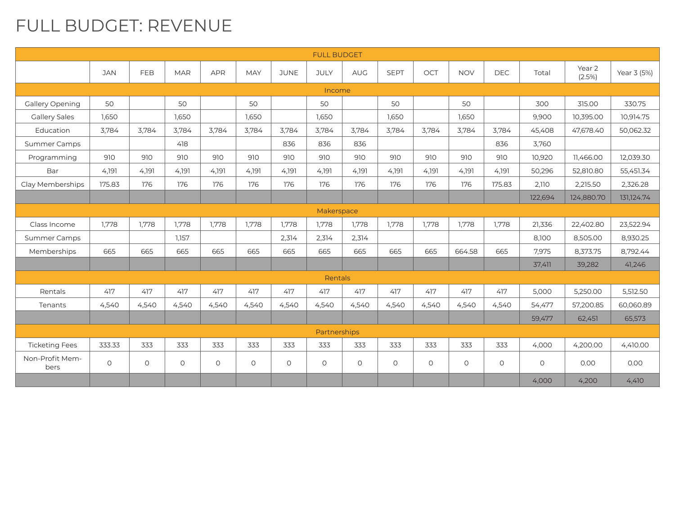#### FULL BUDGET: REVENUE

| <b>FULL BUDGET</b>      |            |         |            |            |            |             |              |            |             |         |            |            |         |                  |             |
|-------------------------|------------|---------|------------|------------|------------|-------------|--------------|------------|-------------|---------|------------|------------|---------|------------------|-------------|
|                         | <b>JAN</b> | FEB     | <b>MAR</b> | <b>APR</b> | <b>MAY</b> | <b>JUNE</b> | <b>JULY</b>  | <b>AUG</b> | <b>SEPT</b> | OCT     | <b>NOV</b> | <b>DEC</b> | Total   | Year 2<br>(2.5%) | Year 3 (5%) |
| Income                  |            |         |            |            |            |             |              |            |             |         |            |            |         |                  |             |
| Gallery Opening         | 50         |         | 50         |            | 50         |             | 50           |            | 50          |         | 50         |            | 300     | 315.00           | 330.75      |
| <b>Gallery Sales</b>    | 1.650      |         | 1,650      |            | 1,650      |             | 1,650        |            | 1,650       |         | 1,650      |            | 9,900   | 10,395.00        | 10,914.75   |
| Education               | 3.784      | 3.784   | 3.784      | 3.784      | 3.784      | 3.784       | 3.784        | 3.784      | 3.784       | 3.784   | 3.784      | 3.784      | 45.408  | 47.678.40        | 50.062.32   |
| <b>Summer Camps</b>     |            |         | 418        |            |            | 836         | 836          | 836        |             |         |            | 836        | 3.760   |                  |             |
| Programming             | 910        | 910     | 910        | 910        | 910        | 910         | 910          | 910        | 910         | 910     | 910        | 910        | 10,920  | 11,466.00        | 12,039.30   |
| Bar                     | 4,191      | 4.191   | 4,191      | 4.191      | 4,191      | 4,191       | 4,191        | 4,191      | 4,191       | 4,191   | 4,191      | 4,191      | 50,296  | 52,810.80        | 55,451.34   |
| Clay Memberships        | 175.83     | 176     | 176        | 176        | 176        | 176         | 176          | 176        | 176         | 176     | 176        | 175.83     | 2,110   | 2,215.50         | 2,326.28    |
|                         |            |         |            |            |            |             |              |            |             |         |            |            | 122,694 | 124,880.70       | 131,124.74  |
| Makerspace              |            |         |            |            |            |             |              |            |             |         |            |            |         |                  |             |
| Class Income            | 1,778      | 1,778   | 1,778      | 1,778      | 1,778      | 1.778       | 1.778        | 1,778      | 1,778       | 1,778   | 1,778      | 1,778      | 21,336  | 22,402.80        | 23,522.94   |
| <b>Summer Camps</b>     |            |         | 1.157      |            |            | 2,314       | 2,314        | 2,314      |             |         |            |            | 8,100   | 8,505.00         | 8,930.25    |
| Memberships             | 665        | 665     | 665        | 665        | 665        | 665         | 665          | 665        | 665         | 665     | 664.58     | 665        | 7,975   | 8,373.75         | 8,792.44    |
|                         |            |         |            |            |            |             |              |            |             |         |            |            | 37,411  | 39,282           | 41,246      |
|                         |            |         |            |            |            |             | Rentals      |            |             |         |            |            |         |                  |             |
| Rentals                 | 417        | 417     | 417        | 417        | 417        | 417         | 417          | 417        | 417         | 417     | 417        | 417        | 5,000   | 5,250.00         | 5,512.50    |
| Tenants                 | 4,540      | 4,540   | 4,540      | 4,540      | 4,540      | 4,540       | 4,540        | 4,540      | 4,540       | 4,540   | 4,540      | 4,540      | 54,477  | 57,200.85        | 60,060.89   |
|                         |            |         |            |            |            |             |              |            |             |         |            |            | 59,477  | 62,451           | 65,573      |
|                         |            |         |            |            |            |             | Partnerships |            |             |         |            |            |         |                  |             |
| <b>Ticketing Fees</b>   | 333.33     | 333     | 333        | 333        | 333        | 333         | 333          | 333        | 333         | 333     | 333        | 333        | 4,000   | 4,200.00         | 4,410.00    |
| Non-Profit Mem-<br>bers | $\circ$    | $\circ$ | $\circ$    | $\circ$    | $\circ$    | $\circ$     | $\circ$      | $\circ$    | $\circ$     | $\circ$ | $\circ$    | $\circ$    | $\circ$ | 0.00             | 0.00        |
|                         |            |         |            |            |            |             |              |            |             |         |            |            | 4,000   | 4,200            | 4,410       |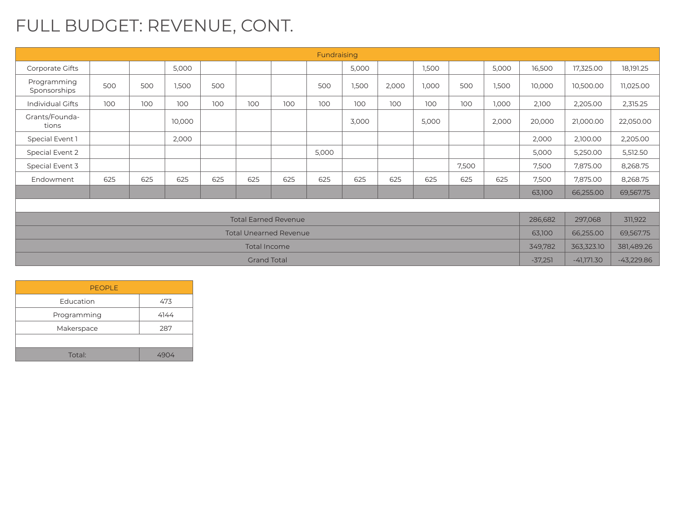## FULL BUDGET: REVENUE, CONT.

| Fundraising                   |     |     |        |     |                             |     |       |       |       |       |           |              |              |           |           |
|-------------------------------|-----|-----|--------|-----|-----------------------------|-----|-------|-------|-------|-------|-----------|--------------|--------------|-----------|-----------|
| Corporate Gifts               |     |     | 5,000  |     |                             |     |       | 5,000 |       | 1,500 |           | 5,000        | 16,500       | 17,325.00 | 18,191.25 |
| Programming<br>Sponsorships   | 500 | 500 | 1,500  | 500 |                             |     | 500   | 1,500 | 2,000 | 1,000 | 500       | 1,500        | 10,000       | 10,500.00 | 11,025.00 |
| <b>Individual Gifts</b>       | 100 | 100 | 100    | 100 | 100                         | 100 | 100   | 100   | 100   | 100   | 100       | 1,000        | 2,100        | 2,205.00  | 2,315.25  |
| Grants/Founda-<br>tions       |     |     | 10,000 |     |                             |     |       | 3,000 |       | 5,000 |           | 2,000        | 20,000       | 21,000.00 | 22,050.00 |
| Special Event 1               |     |     | 2,000  |     |                             |     |       |       |       |       |           |              | 2,000        | 2,100.00  | 2,205.00  |
| Special Event 2               |     |     |        |     |                             |     | 5,000 |       |       |       |           |              | 5,000        | 5,250.00  | 5,512.50  |
| Special Event 3               |     |     |        |     |                             |     |       |       |       |       | 7,500     |              | 7,500        | 7,875.00  | 8,268.75  |
| Endowment                     | 625 | 625 | 625    | 625 | 625                         | 625 | 625   | 625   | 625   | 625   | 625       | 625          | 7,500        | 7,875.00  | 8,268.75  |
|                               |     |     |        |     |                             |     |       |       |       |       |           |              | 63,100       | 66,255.00 | 69,567.75 |
|                               |     |     |        |     |                             |     |       |       |       |       |           |              |              |           |           |
|                               |     |     |        |     | <b>Total Earned Revenue</b> |     |       |       |       |       |           |              | 286,682      | 297,068   | 311,922   |
| <b>Total Unearned Revenue</b> |     |     |        |     |                             |     |       |       |       |       | 63,100    | 66,255.00    | 69,567.75    |           |           |
| Total Income                  |     |     |        |     |                             |     |       |       |       |       | 349,782   | 363,323.10   | 381,489.26   |           |           |
| <b>Grand Total</b>            |     |     |        |     |                             |     |       |       |       |       | $-37,251$ | $-41,171.30$ | $-43,229.86$ |           |           |

| <b>PEOPLE</b> |      |
|---------------|------|
| Education     | 473  |
| Programming   | 4144 |
| Makerspace    | 287  |
|               |      |
| Total:        |      |